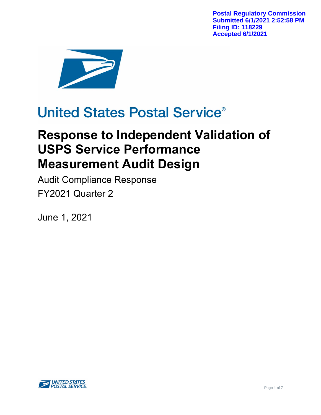**Postal Regulatory Commission Submitted 6/1/2021 2:52:58 PM Filing ID: 118229 Accepted 6/1/2021**



# **United States Postal Service®**

# **Response to Independent Validation of USPS Service Performance Measurement Audit Design**

Audit Compliance Response FY2021 Quarter 2

June 1, 2021

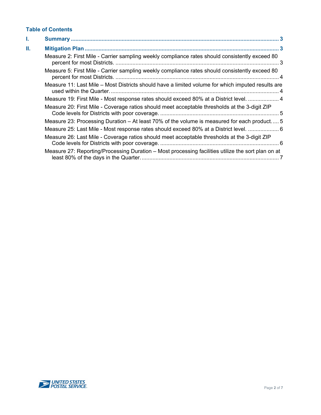#### **Table of Contents**

| I. |                                                                                                    |  |
|----|----------------------------------------------------------------------------------------------------|--|
| Ш. |                                                                                                    |  |
|    | Measure 2: First Mile - Carrier sampling weekly compliance rates should consistently exceed 80     |  |
|    | Measure 5: First Mile - Carrier sampling weekly compliance rates should consistently exceed 80     |  |
|    | Measure 11: Last Mile – Most Districts should have a limited volume for which imputed results are  |  |
|    | Measure 19: First Mile - Most response rates should exceed 80% at a District level.  4             |  |
|    | Measure 20: First Mile - Coverage ratios should meet acceptable thresholds at the 3-digit ZIP      |  |
|    | Measure 23: Processing Duration – At least 70% of the volume is measured for each product 5        |  |
|    | Measure 25: Last Mile - Most response rates should exceed 80% at a District level.  6              |  |
|    | Measure 26: Last Mile - Coverage ratios should meet acceptable thresholds at the 3-digit ZIP       |  |
|    | Measure 27: Reporting/Processing Duration – Most processing facilities utilize the sort plan on at |  |

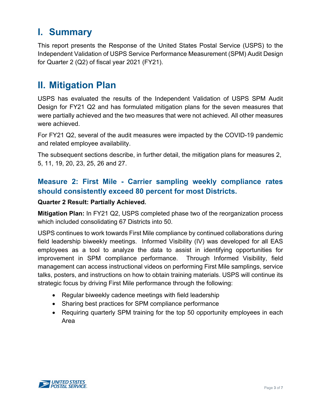## <span id="page-2-0"></span>**I. Summary**

This report presents the Response of the United States Postal Service (USPS) to the Independent Validation of USPS Service Performance Measurement (SPM) Audit Design for Quarter 2 (Q2) of fiscal year 2021 (FY21).

## <span id="page-2-1"></span>**II. Mitigation Plan**

USPS has evaluated the results of the Independent Validation of USPS SPM Audit Design for FY21 Q2 and has formulated mitigation plans for the seven measures that were partially achieved and the two measures that were not achieved. All other measures were achieved.

For FY21 Q2, several of the audit measures were impacted by the COVID-19 pandemic and related employee availability.

The subsequent sections describe, in further detail, the mitigation plans for measures 2, 5, 11, 19, 20, 23, 25, 26 and 27.

## <span id="page-2-2"></span>**Measure 2: First Mile - Carrier sampling weekly compliance rates should consistently exceed 80 percent for most Districts.**

#### **Quarter 2 Result: Partially Achieved.**

**Mitigation Plan:** In FY21 Q2, USPS completed phase two of the reorganization process which included consolidating 67 Districts into 50.

USPS continues to work towards First Mile compliance by continued collaborations during field leadership biweekly meetings. Informed Visibility (IV) was developed for all EAS employees as a tool to analyze the data to assist in identifying opportunities for improvement in SPM compliance performance. Through Informed Visibility, field management can access instructional videos on performing First Mile samplings, service talks, posters, and instructions on how to obtain training materials. USPS will continue its strategic focus by driving First Mile performance through the following:

- Regular biweekly cadence meetings with field leadership
- Sharing best practices for SPM compliance performance
- Requiring quarterly SPM training for the top 50 opportunity employees in each Area

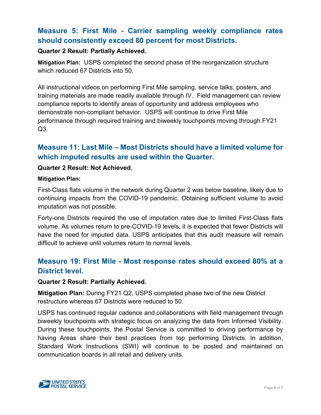## <span id="page-3-0"></span>**Measure 5: First Mile - Carrier sampling weekly compliance rates should consistently exceed 80 percent for most Districts.**

#### **Quarter 2 Result: Partially Achieved.**

**Mitigation Plan:** USPS completed the second phase of the reorganization structure which reduced 67 Districts into 50.

All instructional videos on performing First Mile sampling, service talks, posters, and training materials are made readily available through IV. Field management can review compliance reports to identify areas of opportunity and address employees who demonstrate non-compliant behavior. USPS will continue to drive First Mile performance through required training and biweekly touchpoints moving through FY21 Q3.

## <span id="page-3-1"></span>**Measure 11: Last Mile – Most Districts should have a limited volume for which imputed results are used within the Quarter.**

#### **Quarter 2 Result: Not Achieved.**

#### **Mitigation Plan:**

First-Class flats volume in the network during Quarter 2 was below baseline, likely due to continuing impacts from the COVID-19 pandemic. Obtaining sufficient volume to avoid imputation was not possible.

Forty-one Districts required the use of imputation rates due to limited First-Class flats volume. As volumes return to pre-COVID-19 levels, it is expected that fewer Districts will have the need for imputed data. USPS anticipates that this audit measure will remain difficult to achieve until volumes return to normal levels.

## <span id="page-3-2"></span>**Measure 19: First Mile - Most response rates should exceed 80% at a District level.**

#### **Quarter 2 Result: Partially Achieved.**

**Mitigation Plan:** During FY21 Q2, USPS completed phase two of the new District restructure whereas 67 Districts were reduced to 50.

USPS has continued regular cadence and collaborations with field management through biweekly touchpoints with strategic focus on analyzing the data from Informed Visibility. During these touchpoints, the Postal Service is committed to driving performance by having Areas share their best practices from top performing Districts. In addition, Standard Work Instructions (SWI) will continue to be posted and maintained on communication boards in all retail and delivery units.

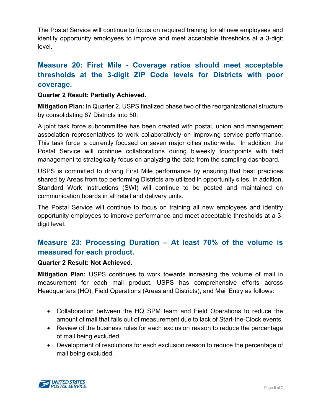The Postal Service will continue to focus on required training for all new employees and identify opportunity employees to improve and meet acceptable thresholds at a 3-digit level.

## <span id="page-4-0"></span>**Measure 20: First Mile - Coverage ratios should meet acceptable thresholds at the 3-digit ZIP Code levels for Districts with poor coverage.**

#### **Quarter 2 Result: Partially Achieved.**

**Mitigation Plan:** In Quarter 2, USPS finalized phase two of the reorganizational structure by consolidating 67 Districts into 50.

A joint task force subcommittee has been created with postal, union and management association representatives to work collaboratively on improving service performance. This task force is currently focused on seven major cities nationwide. In addition, the Postal Service will continue collaborations during biweekly touchpoints with field management to strategically focus on analyzing the data from the sampling dashboard.

USPS is committed to driving First Mile performance by ensuring that best practices shared by Areas from top performing Districts are utilized in opportunity sites. In addition, Standard Work Instructions (SWI) will continue to be posted and maintained on communication boards in all retail and delivery units.

The Postal Service will continue to focus on training all new employees and identify opportunity employees to improve performance and meet acceptable thresholds at a 3 digit level.

## <span id="page-4-1"></span>**Measure 23: Processing Duration – At least 70% of the volume is measured for each product.**

#### **Quarter 2 Result: Not Achieved.**

**Mitigation Plan:** USPS continues to work towards increasing the volume of mail in measurement for each mail product. USPS has comprehensive efforts across Headquarters (HQ), Field Operations (Areas and Districts), and Mail Entry as follows:

- Collaboration between the HQ SPM team and Field Operations to reduce the amount of mail that falls out of measurement due to lack of Start-the-Clock events.
- Review of the business rules for each exclusion reason to reduce the percentage of mail being excluded.
- Development of resolutions for each exclusion reason to reduce the percentage of mail being excluded.

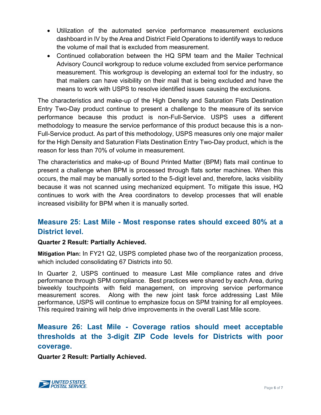- Utilization of the automated service performance measurement exclusions dashboard in IV by the Area and District Field Operations to identify ways to reduce the volume of mail that is excluded from measurement.
- Continued collaboration between the HQ SPM team and the Mailer Technical Advisory Council workgroup to reduce volume excluded from service performance measurement. This workgroup is developing an external tool for the industry, so that mailers can have visibility on their mail that is being excluded and have the means to work with USPS to resolve identified issues causing the exclusions.

The characteristics and make-up of the High Density and Saturation Flats Destination Entry Two-Day product continue to present a challenge to the measure of its service performance because this product is non-Full-Service. USPS uses a different methodology to measure the service performance of this product because this is a non-Full-Service product. As part of this methodology, USPS measures only one major mailer for the High Density and Saturation Flats Destination Entry Two-Day product, which is the reason for less than 70% of volume in measurement.

The characteristics and make-up of Bound Printed Matter (BPM) flats mail continue to present a challenge when BPM is processed through flats sorter machines. When this occurs, the mail may be manually sorted to the 5-digit level and, therefore, lacks visibility because it was not scanned using mechanized equipment. To mitigate this issue, HQ continues to work with the Area coordinators to develop processes that will enable increased visibility for BPM when it is manually sorted.

## <span id="page-5-0"></span>**Measure 25: Last Mile - Most response rates should exceed 80% at a District level.**

#### **Quarter 2 Result: Partially Achieved.**

**Mitigation Plan:** In FY21 Q2, USPS completed phase two of the reorganization process, which included consolidating 67 Districts into 50.

In Quarter 2, USPS continued to measure Last Mile compliance rates and drive performance through SPM compliance. Best practices were shared by each Area, during biweekly touchpoints with field management, on improving service performance measurement scores. Along with the new joint task force addressing Last Mile performance, USPS will continue to emphasize focus on SPM training for all employees. This required training will help drive improvements in the overall Last Mile score.

## <span id="page-5-1"></span>**Measure 26: Last Mile - Coverage ratios should meet acceptable thresholds at the 3-digit ZIP Code levels for Districts with poor coverage.**

**Quarter 2 Result: Partially Achieved.**